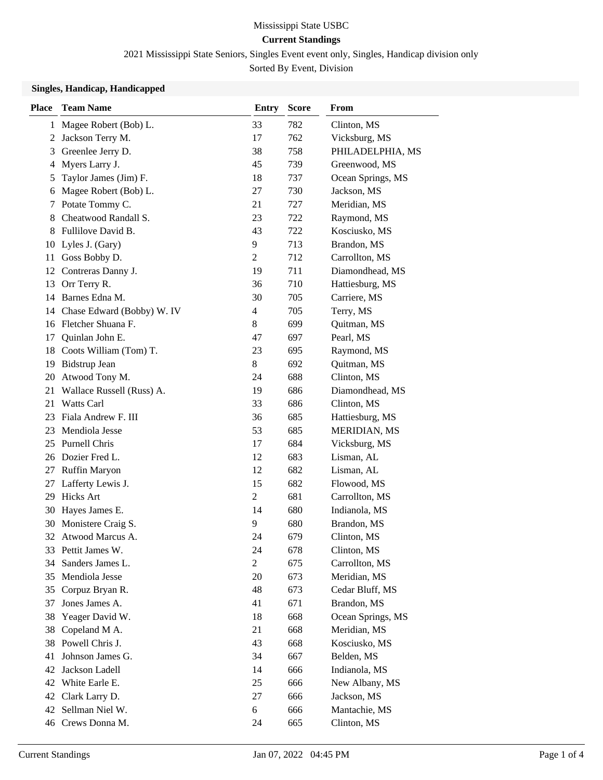2021 Mississippi State Seniors, Singles Event event only, Singles, Handicap division only

Sorted By Event, Division

### **Singles, Handicap, Handicapped**

| <b>Place</b> | <b>Team Name</b>           | <b>Entry</b>            | <b>Score</b> | From                |
|--------------|----------------------------|-------------------------|--------------|---------------------|
| 1            | Magee Robert (Bob) L.      | 33                      | 782          | Clinton, MS         |
|              | 2 Jackson Terry M.         | 17                      | 762          | Vicksburg, MS       |
| 3            | Greenlee Jerry D.          | 38                      | 758          | PHILADELPHIA, MS    |
| 4            | Myers Larry J.             | 45                      | 739          | Greenwood, MS       |
| 5            | Taylor James (Jim) F.      | 18                      | 737          | Ocean Springs, MS   |
| 6            | Magee Robert (Bob) L.      | 27                      | 730          | Jackson, MS         |
| 7            | Potate Tommy C.            | 21                      | 727          | Meridian, MS        |
| 8            | Cheatwood Randall S.       | 23                      | 722          | Raymond, MS         |
| 8            | Fullilove David B.         | 43                      | 722          | Kosciusko, MS       |
| 10           | Lyles J. (Gary)            | 9                       | 713          | Brandon, MS         |
| 11           | Goss Bobby D.              | $\overline{c}$          | 712          | Carrollton, MS      |
| 12           | Contreras Danny J.         | 19                      | 711          | Diamondhead, MS     |
| 13           | Orr Terry R.               | 36                      | 710          | Hattiesburg, MS     |
| 14           | Barnes Edna M.             | 30                      | 705          | Carriere, MS        |
| 14           | Chase Edward (Bobby) W. IV | $\overline{\mathbf{4}}$ | 705          | Terry, MS           |
|              | 16 Fletcher Shuana F.      | 8                       | 699          | Quitman, MS         |
| 17           | Quinlan John E.            | 47                      | 697          | Pearl, MS           |
| 18           | Coots William (Tom) T.     | 23                      | 695          | Raymond, MS         |
| 19           | Bidstrup Jean              | 8                       | 692          | Quitman, MS         |
| 20           | Atwood Tony M.             | 24                      | 688          | Clinton, MS         |
| 21           | Wallace Russell (Russ) A.  | 19                      | 686          | Diamondhead, MS     |
| 21           | <b>Watts Carl</b>          | 33                      | 686          | Clinton, MS         |
| 23           | Fiala Andrew F. III        | 36                      | 685          | Hattiesburg, MS     |
| 23           | Mendiola Jesse             | 53                      | 685          | <b>MERIDIAN, MS</b> |
| 25           | Purnell Chris              | 17                      | 684          | Vicksburg, MS       |
|              | 26 Dozier Fred L.          | 12                      | 683          | Lisman, AL          |
| 27           | Ruffin Maryon              | 12                      | 682          | Lisman, AL          |
| 27           | Lafferty Lewis J.          | 15                      | 682          | Flowood, MS         |
| 29           | <b>Hicks Art</b>           | $\overline{c}$          | 681          | Carrollton, MS      |
| 30           | Hayes James E.             | 14                      | 680          | Indianola, MS       |
| 30           | Monistere Craig S.         | 9                       | 680          | Brandon, MS         |
|              | 32 Atwood Marcus A.        | 24                      | 679          | Clinton, MS         |
|              | 33 Pettit James W.         | 24                      | 678          | Clinton, MS         |
| 34           | Sanders James L.           | $\overline{2}$          | 675          | Carrollton, MS      |
| 35           | Mendiola Jesse             | 20                      | 673          | Meridian, MS        |
| 35           | Corpuz Bryan R.            | 48                      | 673          | Cedar Bluff, MS     |
| 37           | Jones James A.             | 41                      | 671          | Brandon, MS         |
| 38           | Yeager David W.            | 18                      | 668          | Ocean Springs, MS   |
| 38           | Copeland M A.              | 21                      | 668          | Meridian, MS        |
| 38           | Powell Chris J.            | 43                      | 668          | Kosciusko, MS       |
| 41           | Johnson James G.           | 34                      | 667          | Belden, MS          |
| 42           | Jackson Ladell             | 14                      | 666          | Indianola, MS       |
| 42           | White Earle E.             | 25                      | 666          | New Albany, MS      |
| 42           | Clark Larry D.             | 27                      | 666          | Jackson, MS         |
| 42           | Sellman Niel W.            | 6                       | 666          | Mantachie, MS       |
| 46           | Crews Donna M.             | 24                      | 665          | Clinton, MS         |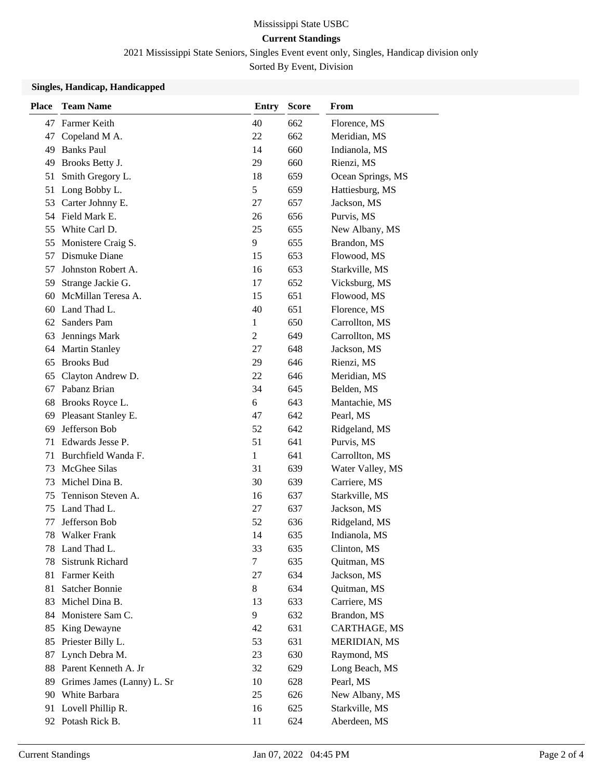2021 Mississippi State Seniors, Singles Event event only, Singles, Handicap division only Sorted By Event, Division

#### **Singles, Handicap, Handicapped**

| <b>Place</b> | <b>Team Name</b>           | <b>Entry</b> | <b>Score</b> | From              |
|--------------|----------------------------|--------------|--------------|-------------------|
| 47           | Farmer Keith               | 40           | 662          | Florence, MS      |
| 47           | Copeland M A.              | 22           | 662          | Meridian, MS      |
| 49           | <b>Banks Paul</b>          | 14           | 660          | Indianola, MS     |
| 49           | Brooks Betty J.            | 29           | 660          | Rienzi, MS        |
| 51           | Smith Gregory L.           | 18           | 659          | Ocean Springs, MS |
| 51           | Long Bobby L.              | 5            | 659          | Hattiesburg, MS   |
| 53           | Carter Johnny E.           | 27           | 657          | Jackson, MS       |
|              | 54 Field Mark E.           | 26           | 656          | Purvis, MS        |
| 55           | White Carl D.              | 25           | 655          | New Albany, MS    |
| 55           | Monistere Craig S.         | 9            | 655          | Brandon, MS       |
| 57           | Dismuke Diane              | 15           | 653          | Flowood, MS       |
| 57           | Johnston Robert A.         | 16           | 653          | Starkville, MS    |
| 59           | Strange Jackie G.          | 17           | 652          | Vicksburg, MS     |
| 60           | McMillan Teresa A.         | 15           | 651          | Flowood, MS       |
| 60           | Land Thad L.               | 40           | 651          | Florence, MS      |
| 62           | Sanders Pam                | 1            | 650          | Carrollton, MS    |
| 63           | Jennings Mark              | 2            | 649          | Carrollton, MS    |
| 64           | <b>Martin Stanley</b>      | 27           | 648          | Jackson, MS       |
| 65           | <b>Brooks Bud</b>          | 29           | 646          | Rienzi, MS        |
| 65           | Clayton Andrew D.          | 22           | 646          | Meridian, MS      |
| 67           | Pabanz Brian               | 34           | 645          | Belden, MS        |
| 68           | Brooks Royce L.            | 6            | 643          | Mantachie, MS     |
| 69           | Pleasant Stanley E.        | 47           | 642          | Pearl, MS         |
| 69           | Jefferson Bob              | 52           | 642          | Ridgeland, MS     |
| 71           | Edwards Jesse P.           | 51           | 641          | Purvis, MS        |
| 71           | Burchfield Wanda F.        | 1            | 641          | Carrollton, MS    |
| 73           | McGhee Silas               | 31           | 639          | Water Valley, MS  |
| 73           | Michel Dina B.             | 30           | 639          | Carriere, MS      |
| 75           | Tennison Steven A.         | 16           | 637          | Starkville, MS    |
| 75           | Land Thad L.               | 27           | 637          | Jackson, MS       |
| 77           | Jefferson Bob              | 52           | 636          | Ridgeland, MS     |
| 78           | <b>Walker Frank</b>        | 14           | 635          | Indianola, MS     |
|              | 78 Land Thad L.            | 33           | 635          | Clinton, MS       |
| 78           | Sistrunk Richard           | 7            | 635          | Quitman, MS       |
| 81           | Farmer Keith               | 27           | 634          | Jackson, MS       |
| 81           | Satcher Bonnie             | 8            | 634          | Quitman, MS       |
| 83           | Michel Dina B.             | 13           | 633          | Carriere, MS      |
| 84           | Monistere Sam C.           | 9            | 632          | Brandon, MS       |
| 85           | King Dewayne               | 42           | 631          | CARTHAGE, MS      |
| 85           | Priester Billy L.          | 53           | 631          | MERIDIAN, MS      |
| 87           | Lynch Debra M.             | 23           | 630          | Raymond, MS       |
| 88           | Parent Kenneth A. Jr       | 32           | 629          | Long Beach, MS    |
| 89           | Grimes James (Lanny) L. Sr | 10           | 628          | Pearl, MS         |
|              | 90 White Barbara           | 25           | 626          | New Albany, MS    |
| 91           | Lovell Phillip R.          | 16           | 625          | Starkville, MS    |
|              | 92 Potash Rick B.          | 11           | 624          | Aberdeen, MS      |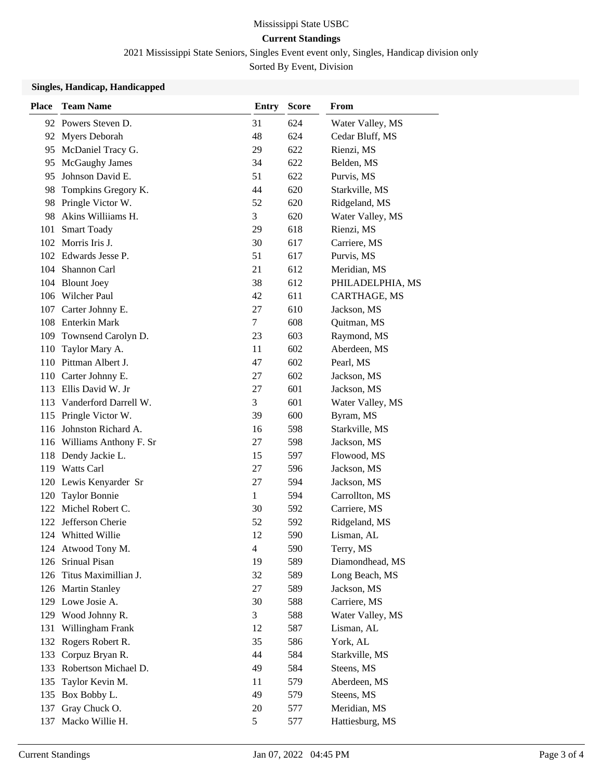2021 Mississippi State Seniors, Singles Event event only, Singles, Handicap division only Sorted By Event, Division

#### **Singles, Handicap, Handicapped**

| <b>Place</b> | <b>Team Name</b>           | <b>Entry</b>   | <b>Score</b> | From             |
|--------------|----------------------------|----------------|--------------|------------------|
|              | 92 Powers Steven D.        | 31             | 624          | Water Valley, MS |
| 92           | Myers Deborah              | 48             | 624          | Cedar Bluff, MS  |
| 95           | McDaniel Tracy G.          | 29             | 622          | Rienzi, MS       |
| 95           | McGaughy James             | 34             | 622          | Belden, MS       |
| 95           | Johnson David E.           | 51             | 622          | Purvis, MS       |
| 98           | Tompkins Gregory K.        | 44             | 620          | Starkville, MS   |
| 98           | Pringle Victor W.          | 52             | 620          | Ridgeland, MS    |
| 98           | Akins Williiams H.         | 3              | 620          | Water Valley, MS |
| 101          | <b>Smart Toady</b>         | 29             | 618          | Rienzi, MS       |
| 102          | Morris Iris J.             | 30             | 617          | Carriere, MS     |
|              | 102 Edwards Jesse P.       | 51             | 617          | Purvis, MS       |
|              | 104 Shannon Carl           | 21             | 612          | Meridian, MS     |
|              | 104 Blount Joey            | 38             | 612          | PHILADELPHIA, MS |
|              | 106 Wilcher Paul           | 42             | 611          | CARTHAGE, MS     |
| 107          | Carter Johnny E.           | 27             | 610          | Jackson, MS      |
| 108          | Enterkin Mark              | $\tau$         | 608          | Quitman, MS      |
| 109          | Townsend Carolyn D.        | 23             | 603          | Raymond, MS      |
| 110          | Taylor Mary A.             | 11             | 602          | Aberdeen, MS     |
| 110          | Pittman Albert J.          | 47             | 602          | Pearl, MS        |
|              | 110 Carter Johnny E.       | 27             | 602          | Jackson, MS      |
| 113          | Ellis David W. Jr          | 27             | 601          | Jackson, MS      |
| 113          | Vanderford Darrell W.      | 3              | 601          | Water Valley, MS |
|              | 115 Pringle Victor W.      | 39             | 600          | Byram, MS        |
| 116          | Johnston Richard A.        | 16             | 598          | Starkville, MS   |
|              | 116 Williams Anthony F. Sr | 27             | 598          | Jackson, MS      |
| 118          | Dendy Jackie L.            | 15             | 597          | Flowood, MS      |
| 119          | <b>Watts Carl</b>          | 27             | 596          | Jackson, MS      |
|              | 120 Lewis Kenyarder Sr     | 27             | 594          | Jackson, MS      |
| 120          | <b>Taylor Bonnie</b>       | $\mathbf{1}$   | 594          | Carrollton, MS   |
|              | 122 Michel Robert C.       | 30             | 592          | Carriere, MS     |
| 122          | Jefferson Cherie           | 52             | 592          | Ridgeland, MS    |
| 124          | Whitted Willie             | 12             | 590          | Lisman, AL       |
|              | 124 Atwood Tony M.         | $\overline{4}$ | 590          | Terry, MS        |
| 126          | Srinual Pisan              | 19             | 589          | Diamondhead, MS  |
| 126          | Titus Maximillian J.       | 32             | 589          | Long Beach, MS   |
|              | 126 Martin Stanley         | 27             | 589          | Jackson, MS      |
|              | 129 Lowe Josie A.          | 30             | 588          | Carriere, MS     |
| 129          | Wood Johnny R.             | 3              | 588          | Water Valley, MS |
| 131          | Willingham Frank           | 12             | 587          | Lisman, AL       |
| 132          | Rogers Robert R.           | 35             | 586          | York, AL         |
| 133          | Corpuz Bryan R.            | 44             | 584          | Starkville, MS   |
| 133          | Robertson Michael D.       | 49             | 584          | Steens, MS       |
| 135          | Taylor Kevin M.            | 11             | 579          | Aberdeen, MS     |
| 135          | Box Bobby L.               | 49             | 579          | Steens, MS       |
| 137          | Gray Chuck O.              | 20             | 577          | Meridian, MS     |
| 137          | Macko Willie H.            | 5              | 577          | Hattiesburg, MS  |